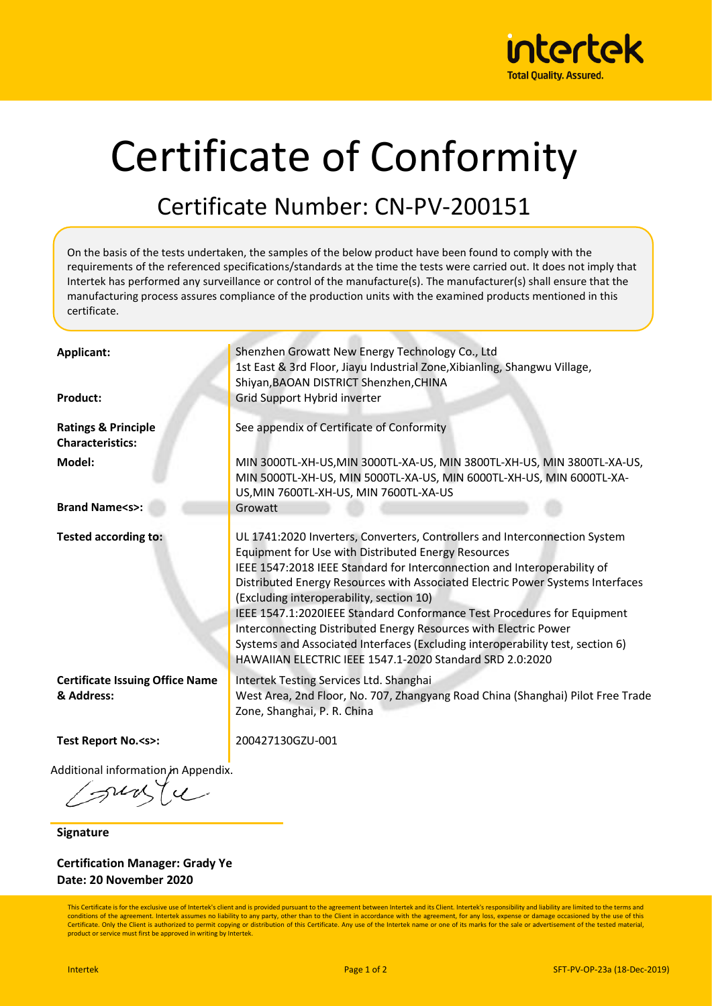

# Certificate of Conformity

#### Certificate Number: CN-PV-200151

On the basis of the tests undertaken, the samples of the below product have been found to comply with the requirements of the referenced specifications/standards at the time the tests were carried out. It does not imply that Intertek has performed any surveillance or control of the manufacture(s). The manufacturer(s) shall ensure that the manufacturing process assures compliance of the production units with the examined products mentioned in this certificate.

| Applicant:                                                | Shenzhen Growatt New Energy Technology Co., Ltd<br>1st East & 3rd Floor, Jiayu Industrial Zone, Xibianling, Shangwu Village,<br>Shiyan, BAOAN DISTRICT Shenzhen, CHINA                                                                                                                                                                                                                                                                                                                                                                                                                                                                   |
|-----------------------------------------------------------|------------------------------------------------------------------------------------------------------------------------------------------------------------------------------------------------------------------------------------------------------------------------------------------------------------------------------------------------------------------------------------------------------------------------------------------------------------------------------------------------------------------------------------------------------------------------------------------------------------------------------------------|
| <b>Product:</b>                                           | Grid Support Hybrid inverter                                                                                                                                                                                                                                                                                                                                                                                                                                                                                                                                                                                                             |
| <b>Ratings &amp; Principle</b><br><b>Characteristics:</b> | See appendix of Certificate of Conformity                                                                                                                                                                                                                                                                                                                                                                                                                                                                                                                                                                                                |
| Model:                                                    | MIN 3000TL-XH-US, MIN 3000TL-XA-US, MIN 3800TL-XH-US, MIN 3800TL-XA-US,<br>MIN 5000TL-XH-US, MIN 5000TL-XA-US, MIN 6000TL-XH-US, MIN 6000TL-XA-<br>US, MIN 7600TL-XH-US, MIN 7600TL-XA-US                                                                                                                                                                                                                                                                                                                                                                                                                                                |
| <b>Brand Name<s>:</s></b>                                 | Growatt                                                                                                                                                                                                                                                                                                                                                                                                                                                                                                                                                                                                                                  |
| <b>Tested according to:</b>                               | UL 1741:2020 Inverters, Converters, Controllers and Interconnection System<br>Equipment for Use with Distributed Energy Resources<br>IEEE 1547:2018 IEEE Standard for Interconnection and Interoperability of<br>Distributed Energy Resources with Associated Electric Power Systems Interfaces<br>(Excluding interoperability, section 10)<br>IEEE 1547.1:2020IEEE Standard Conformance Test Procedures for Equipment<br>Interconnecting Distributed Energy Resources with Electric Power<br>Systems and Associated Interfaces (Excluding interoperability test, section 6)<br>HAWAIIAN ELECTRIC IEEE 1547.1-2020 Standard SRD 2.0:2020 |
| <b>Certificate Issuing Office Name</b><br>& Address:      | Intertek Testing Services Ltd. Shanghai<br>West Area, 2nd Floor, No. 707, Zhangyang Road China (Shanghai) Pilot Free Trade<br>Zone, Shanghai, P. R. China                                                                                                                                                                                                                                                                                                                                                                                                                                                                                |
| Test Report No. <s>:</s>                                  | 200427130GZU-001                                                                                                                                                                                                                                                                                                                                                                                                                                                                                                                                                                                                                         |
| Additional information, in Appendix.                      |                                                                                                                                                                                                                                                                                                                                                                                                                                                                                                                                                                                                                                          |

**Signature**

**Certification Manager: Grady Ye Date: 20 November 2020**

This Certificate is for the exclusive use of Intertek's client and is provided pursuant to the agreement between Intertek and its Client. Intertek's responsibility and liability are limited to the terms and conditions of the agreement. Intertek assumes no liability to any party, other than to the Client in accordance with the agreement, for any loss, expense or damage occasioned by the use of this Certificate. Only the Client is authorized to permit copying or distribution of this Certificate. Any use of the Intertek name or one of its marks for the sale or advertisement of the tested material, product or service must first be approved in writing by Intertek.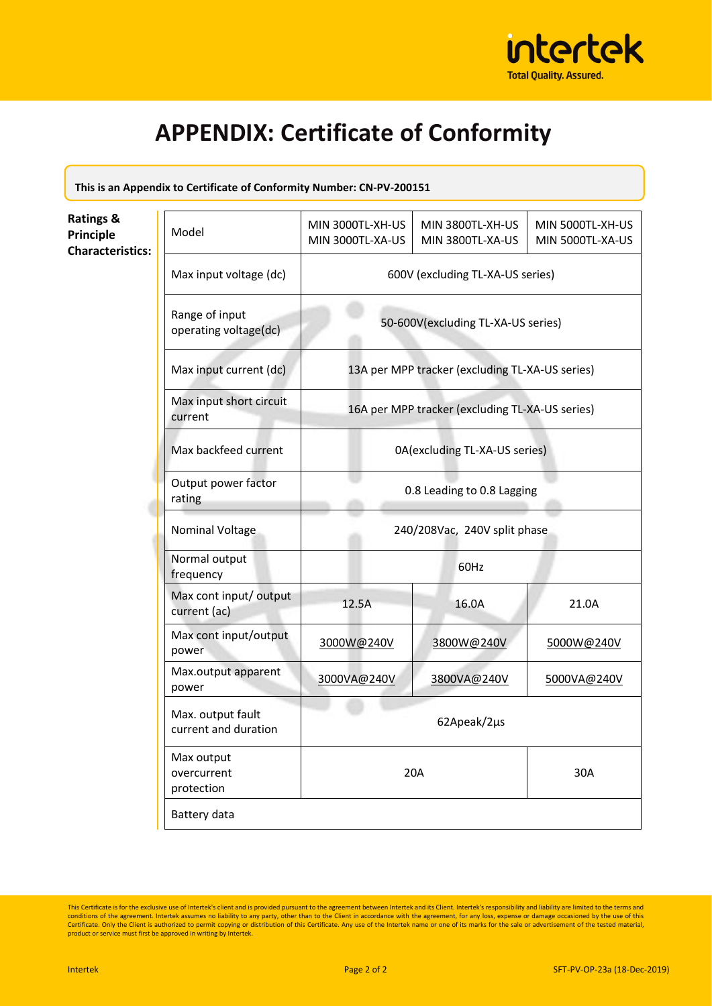

**This is an Appendix to Certificate of Conformity Number: CN-PV-200151**

| <b>Ratings &amp;</b><br><b>Principle</b><br><b>Characteristics:</b> | Model                                     | MIN 3000TL-XH-US<br>MIN 3000TL-XA-US            | MIN 3800TL-XH-US<br>MIN 3800TL-XA-US            | MIN 5000TL-XH-US<br>MIN 5000TL-XA-US |  |
|---------------------------------------------------------------------|-------------------------------------------|-------------------------------------------------|-------------------------------------------------|--------------------------------------|--|
|                                                                     | Max input voltage (dc)                    | 600V (excluding TL-XA-US series)                |                                                 |                                      |  |
|                                                                     | Range of input<br>operating voltage(dc)   |                                                 | 50-600V(excluding TL-XA-US series)              |                                      |  |
|                                                                     | Max input current (dc)                    |                                                 | 13A per MPP tracker (excluding TL-XA-US series) |                                      |  |
|                                                                     | Max input short circuit<br>current        | 16A per MPP tracker (excluding TL-XA-US series) |                                                 |                                      |  |
|                                                                     | Max backfeed current                      | 0A(excluding TL-XA-US series)                   |                                                 |                                      |  |
|                                                                     | Output power factor<br>rating             | 0.8 Leading to 0.8 Lagging                      |                                                 |                                      |  |
|                                                                     | Nominal Voltage                           | 240/208Vac, 240V split phase                    |                                                 |                                      |  |
|                                                                     | Normal output<br>frequency                | 60Hz                                            |                                                 |                                      |  |
|                                                                     | Max cont input/ output<br>current (ac)    | 12.5A                                           | 16.0A                                           | 21.0A                                |  |
|                                                                     | Max cont input/output<br>power            | 3000W@240V                                      | 3800W@240V                                      | 5000W@240V                           |  |
|                                                                     | Max.output apparent<br>power              | 3000VA@240V                                     | 3800VA@240V                                     | 5000VA@240V                          |  |
|                                                                     | Max. output fault<br>current and duration |                                                 | 62Apeak/2µs                                     |                                      |  |
|                                                                     | Max output<br>overcurrent<br>protection   |                                                 | 20A                                             | 30A                                  |  |
|                                                                     | Battery data                              |                                                 |                                                 |                                      |  |

This Certificate is for the exclusive use of Intertek's client and is provided pursuant to the agreement between Intertek and its Client. Intertek's responsibility and liability are limited to the terms and conditions of t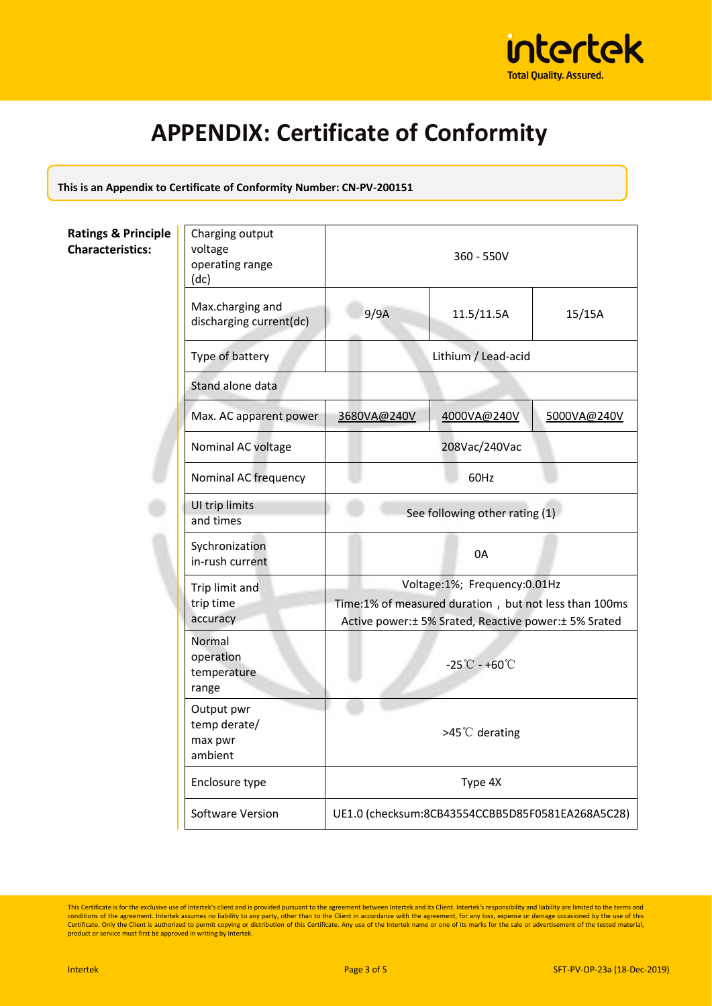

**This is an Appendix to Certificate of Conformity Number: CN-PV-200151**

**Ratings & Principle Characteristics:**

| Charging output<br>voltage<br>operating range<br>(dc) | $360 - 550V$                                           |             |             |
|-------------------------------------------------------|--------------------------------------------------------|-------------|-------------|
| Max.charging and<br>discharging current(dc)           | 9/9A                                                   | 11.5/11.5A  | 15/15A      |
| Type of battery                                       | Lithium / Lead-acid                                    |             |             |
| Stand alone data                                      |                                                        |             |             |
| Max. AC apparent power                                | 3680VA@240V                                            | 4000VA@240V | 5000VA@240V |
| Nominal AC voltage                                    | 208Vac/240Vac                                          |             |             |
| Nominal AC frequency                                  | 60Hz                                                   |             |             |
| UI trip limits<br>and times                           | See following other rating (1)                         |             |             |
| Sychronization<br>in-rush current                     | 0A                                                     |             |             |
| Trip limit and                                        | Voltage:1%; Frequency:0.01Hz                           |             |             |
| trip time                                             | Time:1% of measured duration, but not less than 100ms  |             |             |
| accuracy                                              | Active power: ± 5% Srated, Reactive power: ± 5% Srated |             |             |
| Normal<br>operation<br>temperature<br>range           | $-25^{\circ}$ C - +60 $^{\circ}$ C                     |             |             |
| Output pwr<br>temp derate/<br>max pwr<br>ambient      | >45℃ derating                                          |             |             |
| Enclosure type                                        | Type 4X                                                |             |             |
| <b>Software Version</b>                               | UE1.0 (checksum:8CB43554CCBB5D85F0581EA268A5C28)       |             |             |

This Certificate is for the exclusive use of Intertek's client and is provided pursuant to the agreement between Intertek and its Client. Intertek's responsibility and liability are limited to the terms and conditions of t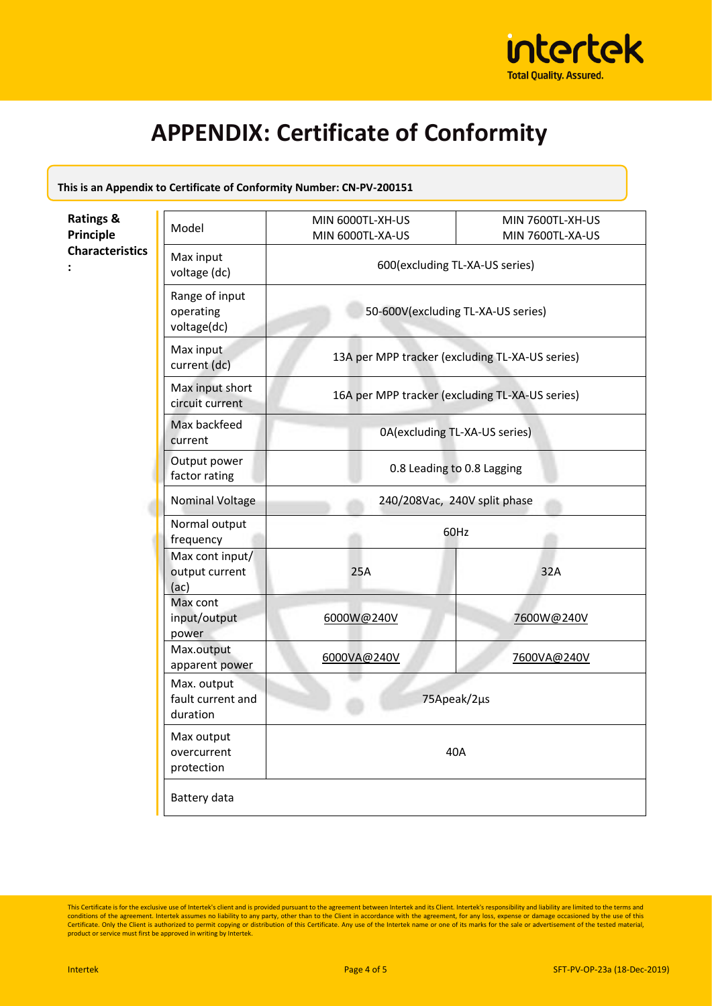

| This is an Appendix to Certificate of Conformity Number: CN-PV-200151 |  |
|-----------------------------------------------------------------------|--|
|-----------------------------------------------------------------------|--|

| <b>Ratings &amp;</b><br><b>Principle</b> | Model                                        | MIN 6000TL-XH-US<br>MIN 6000TL-XA-US            | MIN 7600TL-XH-US<br>MIN 7600TL-XA-US |  |
|------------------------------------------|----------------------------------------------|-------------------------------------------------|--------------------------------------|--|
| <b>Characteristics</b>                   | Max input<br>voltage (dc)                    | 600(excluding TL-XA-US series)                  |                                      |  |
|                                          | Range of input<br>operating<br>voltage(dc)   | 50-600V(excluding TL-XA-US series)              |                                      |  |
|                                          | Max input<br>current (dc)                    | 13A per MPP tracker (excluding TL-XA-US series) |                                      |  |
|                                          | Max input short<br>circuit current           | 16A per MPP tracker (excluding TL-XA-US series) |                                      |  |
|                                          | Max backfeed<br>current                      | 0A(excluding TL-XA-US series)                   |                                      |  |
|                                          | Output power<br>factor rating                | 0.8 Leading to 0.8 Lagging                      |                                      |  |
|                                          | Nominal Voltage                              | 240/208Vac, 240V split phase                    |                                      |  |
|                                          | Normal output<br>frequency                   | 60Hz                                            |                                      |  |
|                                          | Max cont input/<br>output current<br>(ac)    | 25A                                             | 32A                                  |  |
|                                          | Max cont<br>input/output<br>power            | 6000W@240V                                      | 7600W@240V                           |  |
|                                          | Max.output<br>apparent power                 | 6000VA@240V                                     | 7600VA@240V                          |  |
|                                          | Max. output<br>fault current and<br>duration | 75Apeak/2µs                                     |                                      |  |
|                                          | Max output<br>overcurrent<br>protection      | 40A                                             |                                      |  |
|                                          | Battery data                                 |                                                 |                                      |  |

This Certificate is for the exclusive use of Intertek's client and is provided pursuant to the agreement between Intertek and its Client. Intertek's responsibility and liability are limited to the terms and conditions of t